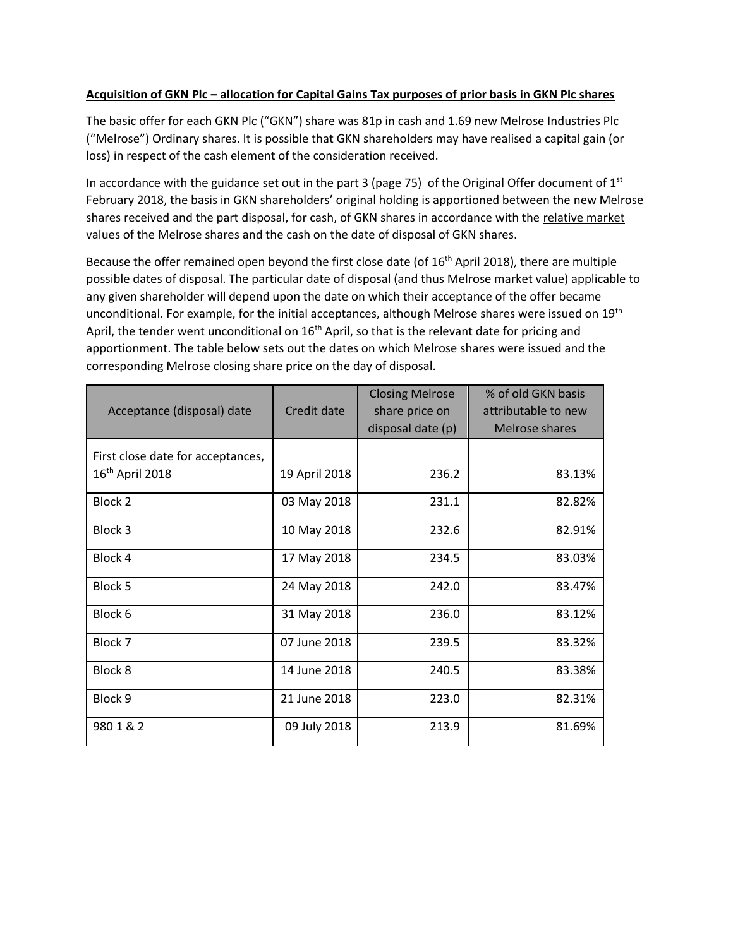# **Acquisition of GKN Plc – allocation for Capital Gains Tax purposes of prior basis in GKN Plc shares**

The basic offer for each GKN Plc ("GKN") share was 81p in cash and 1.69 new Melrose Industries Plc ("Melrose") Ordinary shares. It is possible that GKN shareholders may have realised a capital gain (or loss) in respect of the cash element of the consideration received.

In accordance with the guidance set out in the part 3 (page 75) of the Original Offer document of  $1<sup>st</sup>$ February 2018, the basis in GKN shareholders' original holding is apportioned between the new Melrose shares received and the part disposal, for cash, of GKN shares in accordance with the relative market values of the Melrose shares and the cash on the date of disposal of GKN shares.

Because the offer remained open beyond the first close date (of 16<sup>th</sup> April 2018), there are multiple possible dates of disposal. The particular date of disposal (and thus Melrose market value) applicable to any given shareholder will depend upon the date on which their acceptance of the offer became unconditional. For example, for the initial acceptances, although Melrose shares were issued on 19<sup>th</sup> April, the tender went unconditional on  $16<sup>th</sup>$  April, so that is the relevant date for pricing and apportionment. The table below sets out the dates on which Melrose shares were issued and the corresponding Melrose closing share price on the day of disposal.

| Acceptance (disposal) date                             | Credit date   | <b>Closing Melrose</b><br>share price on<br>disposal date (p) | % of old GKN basis<br>attributable to new<br>Melrose shares |
|--------------------------------------------------------|---------------|---------------------------------------------------------------|-------------------------------------------------------------|
| First close date for acceptances,<br>$16th$ April 2018 | 19 April 2018 | 236.2                                                         | 83.13%                                                      |
| Block 2                                                | 03 May 2018   | 231.1                                                         | 82.82%                                                      |
| Block 3                                                | 10 May 2018   | 232.6                                                         | 82.91%                                                      |
| Block 4                                                | 17 May 2018   | 234.5                                                         | 83.03%                                                      |
| Block 5                                                | 24 May 2018   | 242.0                                                         | 83.47%                                                      |
| Block 6                                                | 31 May 2018   | 236.0                                                         | 83.12%                                                      |
| Block 7                                                | 07 June 2018  | 239.5                                                         | 83.32%                                                      |
| Block 8                                                | 14 June 2018  | 240.5                                                         | 83.38%                                                      |
| Block 9                                                | 21 June 2018  | 223.0                                                         | 82.31%                                                      |
| 9801&2                                                 | 09 July 2018  | 213.9                                                         | 81.69%                                                      |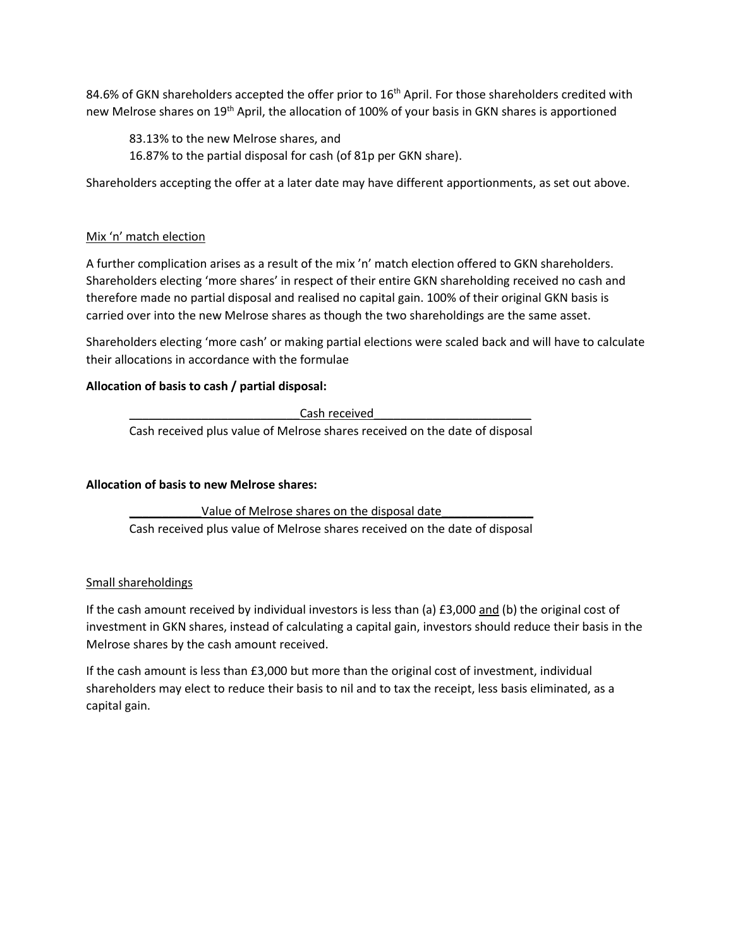84.6% of GKN shareholders accepted the offer prior to  $16^{\text{th}}$  April. For those shareholders credited with new Melrose shares on 19<sup>th</sup> April, the allocation of 100% of your basis in GKN shares is apportioned

83.13% to the new Melrose shares, and

16.87% to the partial disposal for cash (of 81p per GKN share).

Shareholders accepting the offer at a later date may have different apportionments, as set out above.

## Mix 'n' match election

A further complication arises as a result of the mix 'n' match election offered to GKN shareholders. Shareholders electing 'more shares' in respect of their entire GKN shareholding received no cash and therefore made no partial disposal and realised no capital gain. 100% of their original GKN basis is carried over into the new Melrose shares as though the two shareholdings are the same asset.

Shareholders electing 'more cash' or making partial elections were scaled back and will have to calculate their allocations in accordance with the formulae

# **Allocation of basis to cash / partial disposal:**

Cash received

Cash received plus value of Melrose shares received on the date of disposal

### **Allocation of basis to new Melrose shares:**

Value of Melrose shares on the disposal date Cash received plus value of Melrose shares received on the date of disposal

### Small shareholdings

If the cash amount received by individual investors is less than (a) £3,000 and (b) the original cost of investment in GKN shares, instead of calculating a capital gain, investors should reduce their basis in the Melrose shares by the cash amount received.

If the cash amount is less than £3,000 but more than the original cost of investment, individual shareholders may elect to reduce their basis to nil and to tax the receipt, less basis eliminated, as a capital gain.